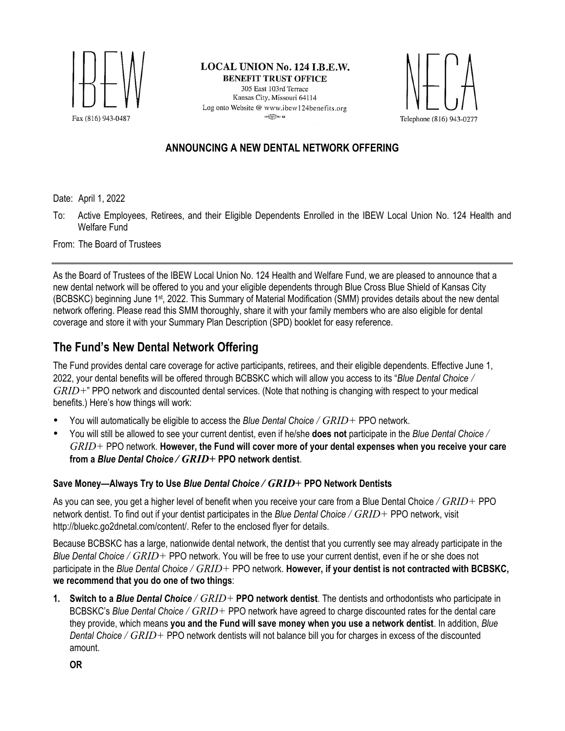

LOCAL UNION No. 124 I.B.E.W. **BENEFIT TRUST OFFICE** 305 East 103rd Terrace Kansas City, Missouri 64114 Log onto Website @ www.ibew124benefits.org  $\frac{1}{2}$  and  $\frac{1}{2}$  and  $\frac{1}{2}$ 



### **ANNOUNCING A NEW DENTAL NETWORK OFFERING**

Date: April 1, 2022

To: Active Employees, Retirees, and their Eligible Dependents Enrolled in the IBEW Local Union No. 124 Health and Welfare Fund

From: The Board of Trustees

As the Board of Trustees of the IBEW Local Union No. 124 Health and Welfare Fund, we are pleased to announce that a new dental network will be offered to you and your eligible dependents through Blue Cross Blue Shield of Kansas City (BCBSKC) beginning June 1st, 2022. This Summary of Material Modification (SMM) provides details about the new dental network offering. Please read this SMM thoroughly, share it with your family members who are also eligible for dental coverage and store it with your Summary Plan Description (SPD) booklet for easy reference.

# **The Fund's New Dental Network Offering**

The Fund provides dental care coverage for active participants, retirees, and their eligible dependents. Effective June 1, 2022, your dental benefits will be offered through BCBSKC which will allow you access to its "*Blue Dental Choice / GRID+*" PPO network and discounted dental services. (Note that nothing is changing with respect to your medical benefits.) Here's how things will work:

- You will automatically be eligible to access the *Blue Dental Choice / GRID+* PPO network.
- You will still be allowed to see your current dentist, even if he/she **does not** participate in the *Blue Dental Choice / GRID+* PPO network. **However, the Fund will cover more of your dental expenses when you receive your care from a** *Blue Dental Choice / GRID+* **PPO network dentist**.

#### **Save Money—Always Try to Use** *Blue Dental Choice / GRID+* **PPO Network Dentists**

As you can see, you get a higher level of benefit when you receive your care from a Blue Dental Choice */ GRID+* PPO network dentist. To find out if your dentist participates in the *Blue Dental Choice / GRID+* PPO network, visit http://bluekc.go2dnetal.com/content/. Refer to the enclosed flyer for details.

Because BCBSKC has a large, nationwide dental network, the dentist that you currently see may already participate in the *Blue Dental Choice / GRID+* PPO network. You will be free to use your current dentist, even if he or she does not participate in the *Blue Dental Choice / GRID+* PPO network. **However, if your dentist is not contracted with BCBSKC, we recommend that you do one of two things**:

**1. Switch to a** *Blue Dental Choice / GRID+* **PPO network dentist**. The dentists and orthodontists who participate in BCBSKC's *Blue Dental Choice / GRID+* PPO network have agreed to charge discounted rates for the dental care they provide, which means **you and the Fund will save money when you use a network dentist**. In addition, *Blue Dental Choice / GRID+* PPO network dentists will not balance bill you for charges in excess of the discounted amount.